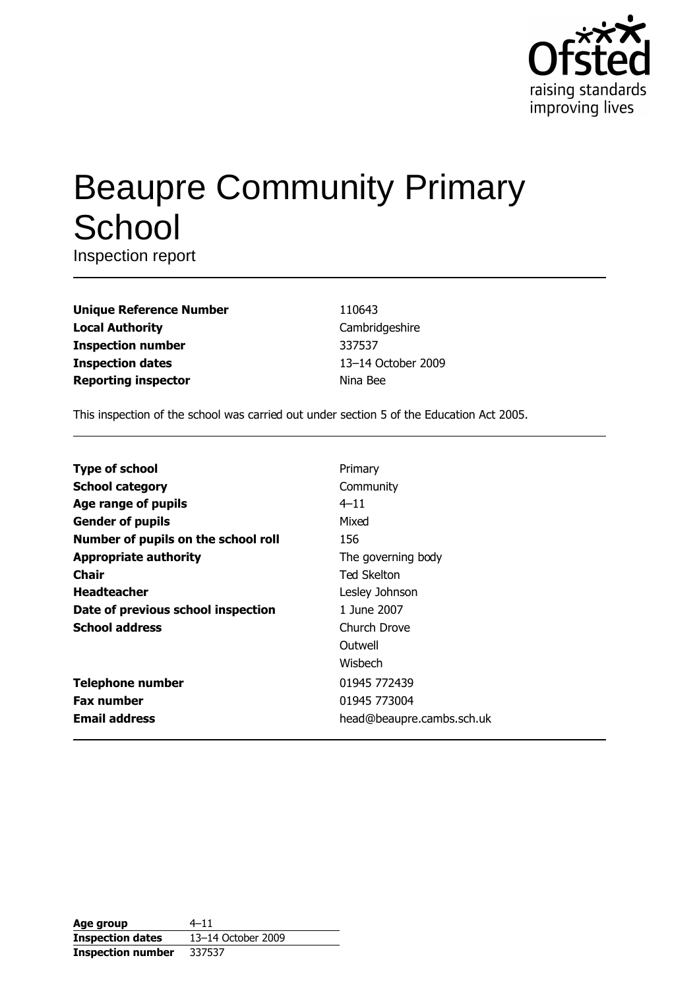

# **Beaupre Community Primary** School

Inspection report

| <b>Unique Reference Number</b> |
|--------------------------------|
| <b>Local Authority</b>         |
| <b>Inspection number</b>       |
| <b>Inspection dates</b>        |
| <b>Reporting inspector</b>     |

110643 Cambridgeshire 337537 13-14 October 2009 Nina Bee

This inspection of the school was carried out under section 5 of the Education Act 2005.

| <b>Type of school</b>               | Primary                   |
|-------------------------------------|---------------------------|
| <b>School category</b>              | Community                 |
| Age range of pupils                 | $4 - 11$                  |
| <b>Gender of pupils</b>             | Mixed                     |
| Number of pupils on the school roll | 156                       |
| <b>Appropriate authority</b>        | The governing body        |
| Chair                               | <b>Ted Skelton</b>        |
| <b>Headteacher</b>                  | Lesley Johnson            |
| Date of previous school inspection  | 1 June 2007               |
| <b>School address</b>               | Church Drove              |
|                                     | Outwell                   |
|                                     | Wishech                   |
| <b>Telephone number</b>             | 01945 772439              |
| <b>Fax number</b>                   | 01945 773004              |
| <b>Email address</b>                | head@beaupre.cambs.sch.uk |

| Age group                | $4 - 11$           |
|--------------------------|--------------------|
| <b>Inspection dates</b>  | 13-14 October 2009 |
| <b>Inspection number</b> | 337537             |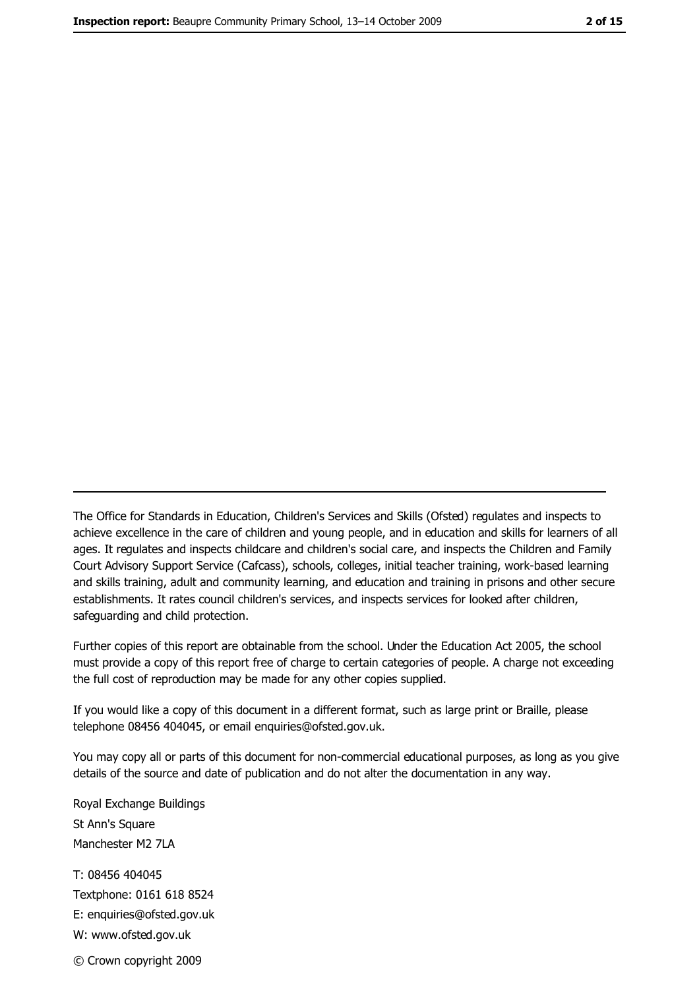The Office for Standards in Education, Children's Services and Skills (Ofsted) regulates and inspects to achieve excellence in the care of children and young people, and in education and skills for learners of all ages. It regulates and inspects childcare and children's social care, and inspects the Children and Family Court Advisory Support Service (Cafcass), schools, colleges, initial teacher training, work-based learning and skills training, adult and community learning, and education and training in prisons and other secure establishments. It rates council children's services, and inspects services for looked after children, safequarding and child protection.

Further copies of this report are obtainable from the school. Under the Education Act 2005, the school must provide a copy of this report free of charge to certain categories of people. A charge not exceeding the full cost of reproduction may be made for any other copies supplied.

If you would like a copy of this document in a different format, such as large print or Braille, please telephone 08456 404045, or email enquiries@ofsted.gov.uk.

You may copy all or parts of this document for non-commercial educational purposes, as long as you give details of the source and date of publication and do not alter the documentation in any way.

Royal Exchange Buildings St Ann's Square Manchester M2 7LA T: 08456 404045 Textphone: 0161 618 8524 E: enquiries@ofsted.gov.uk W: www.ofsted.gov.uk © Crown copyright 2009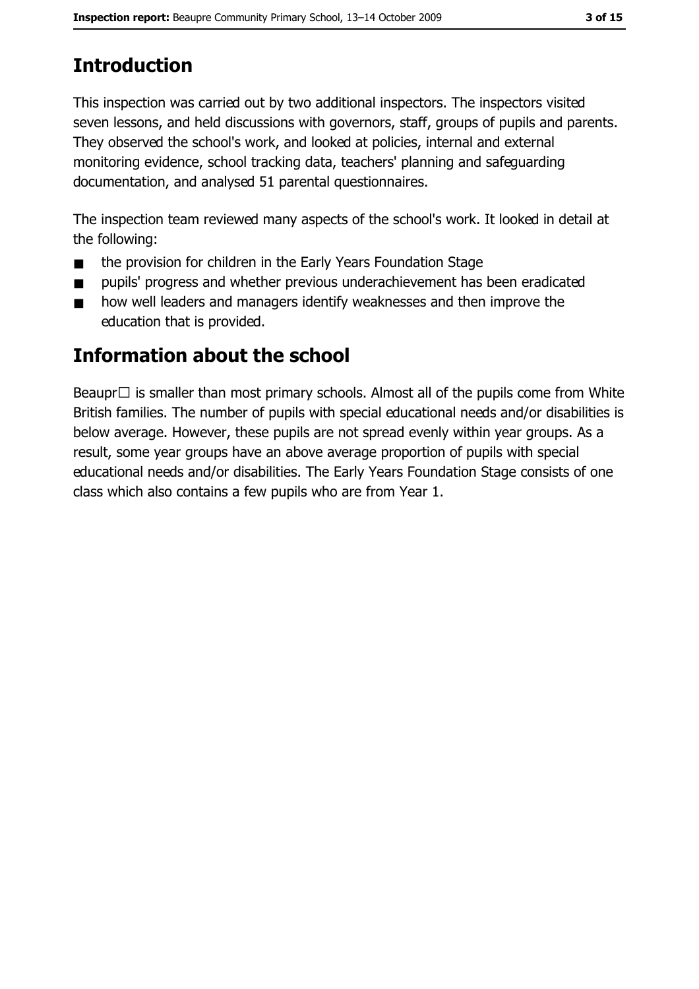# **Introduction**

This inspection was carried out by two additional inspectors. The inspectors visited seven lessons, and held discussions with governors, staff, groups of pupils and parents. They observed the school's work, and looked at policies, internal and external monitoring evidence, school tracking data, teachers' planning and safequarding documentation, and analysed 51 parental questionnaires.

The inspection team reviewed many aspects of the school's work. It looked in detail at the following:

- the provision for children in the Early Years Foundation Stage  $\blacksquare$
- pupils' progress and whether previous underachievement has been eradicated  $\blacksquare$
- how well leaders and managers identify weaknesses and then improve the  $\blacksquare$ education that is provided.

# Information about the school

Beaupr $\Box$  is smaller than most primary schools. Almost all of the pupils come from White British families. The number of pupils with special educational needs and/or disabilities is below average. However, these pupils are not spread evenly within year groups. As a result, some year groups have an above average proportion of pupils with special educational needs and/or disabilities. The Early Years Foundation Stage consists of one class which also contains a few pupils who are from Year 1.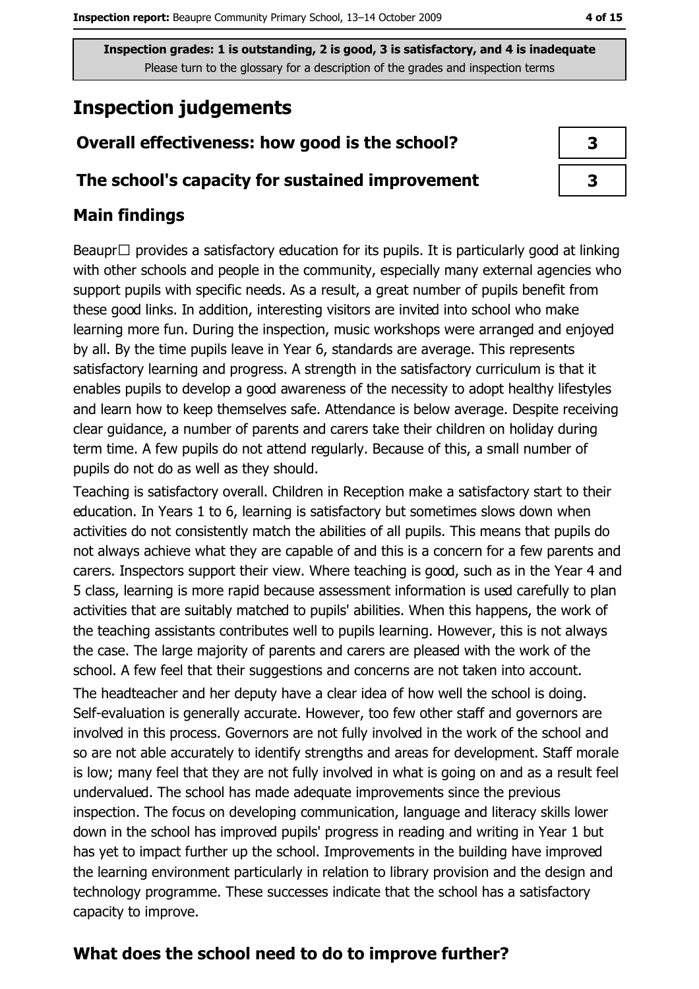# **Inspection judgements**

## Overall effectiveness: how good is the school?

#### The school's capacity for sustained improvement

## **Main findings**

Beaupr $\Box$  provides a satisfactory education for its pupils. It is particularly good at linking with other schools and people in the community, especially many external agencies who support pupils with specific needs. As a result, a great number of pupils benefit from these good links. In addition, interesting visitors are invited into school who make learning more fun. During the inspection, music workshops were arranged and enjoyed by all. By the time pupils leave in Year 6, standards are average. This represents satisfactory learning and progress. A strength in the satisfactory curriculum is that it enables pupils to develop a good awareness of the necessity to adopt healthy lifestyles and learn how to keep themselves safe. Attendance is below average. Despite receiving clear guidance, a number of parents and carers take their children on holiday during term time. A few pupils do not attend regularly. Because of this, a small number of pupils do not do as well as they should.

Teaching is satisfactory overall. Children in Reception make a satisfactory start to their education. In Years 1 to 6, learning is satisfactory but sometimes slows down when activities do not consistently match the abilities of all pupils. This means that pupils do not always achieve what they are capable of and this is a concern for a few parents and carers. Inspectors support their view. Where teaching is good, such as in the Year 4 and 5 class, learning is more rapid because assessment information is used carefully to plan activities that are suitably matched to pupils' abilities. When this happens, the work of the teaching assistants contributes well to pupils learning. However, this is not always the case. The large majority of parents and carers are pleased with the work of the school. A few feel that their suggestions and concerns are not taken into account. The headteacher and her deputy have a clear idea of how well the school is doing. Self-evaluation is generally accurate. However, too few other staff and governors are involved in this process. Governors are not fully involved in the work of the school and so are not able accurately to identify strengths and areas for development. Staff morale is low; many feel that they are not fully involved in what is going on and as a result feel undervalued. The school has made adequate improvements since the previous inspection. The focus on developing communication, language and literacy skills lower down in the school has improved pupils' progress in reading and writing in Year 1 but has yet to impact further up the school. Improvements in the building have improved the learning environment particularly in relation to library provision and the design and technology programme. These successes indicate that the school has a satisfactory capacity to improve.

## What does the school need to do to improve further?

 $\overline{\mathbf{3}}$ 

4 of 15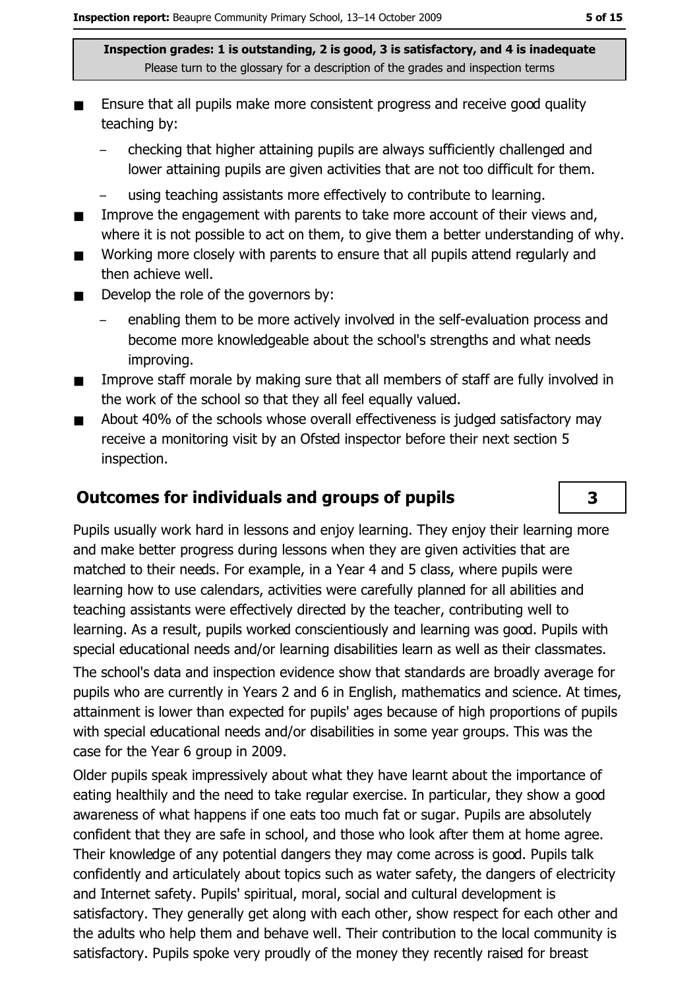- Ensure that all pupils make more consistent progress and receive good quality teaching by:
	- checking that higher attaining pupils are always sufficiently challenged and lower attaining pupils are given activities that are not too difficult for them.
	- using teaching assistants more effectively to contribute to learning.
- Improve the engagement with parents to take more account of their views and,  $\blacksquare$ where it is not possible to act on them, to give them a better understanding of why.
- Working more closely with parents to ensure that all pupils attend regularly and  $\blacksquare$ then achieve well.
- Develop the role of the governors by:  $\blacksquare$ 
	- enabling them to be more actively involved in the self-evaluation process and become more knowledgeable about the school's strengths and what needs improving.
- Improve staff morale by making sure that all members of staff are fully involved in  $\blacksquare$ the work of the school so that they all feel equally valued.
- About 40% of the schools whose overall effectiveness is judged satisfactory may  $\blacksquare$ receive a monitoring visit by an Ofsted inspector before their next section 5 inspection.

## **Outcomes for individuals and groups of pupils**

Pupils usually work hard in lessons and enjoy learning. They enjoy their learning more and make better progress during lessons when they are given activities that are matched to their needs. For example, in a Year 4 and 5 class, where pupils were learning how to use calendars, activities were carefully planned for all abilities and teaching assistants were effectively directed by the teacher, contributing well to learning. As a result, pupils worked conscientiously and learning was good. Pupils with special educational needs and/or learning disabilities learn as well as their classmates. The school's data and inspection evidence show that standards are broadly average for pupils who are currently in Years 2 and 6 in English, mathematics and science. At times, attainment is lower than expected for pupils' ages because of high proportions of pupils with special educational needs and/or disabilities in some year groups. This was the case for the Year 6 group in 2009.

Older pupils speak impressively about what they have learnt about the importance of eating healthily and the need to take regular exercise. In particular, they show a good awareness of what happens if one eats too much fat or sugar. Pupils are absolutely confident that they are safe in school, and those who look after them at home agree. Their knowledge of any potential dangers they may come across is good. Pupils talk confidently and articulately about topics such as water safety, the dangers of electricity and Internet safety. Pupils' spiritual, moral, social and cultural development is satisfactory. They generally get along with each other, show respect for each other and the adults who help them and behave well. Their contribution to the local community is satisfactory. Pupils spoke very proudly of the money they recently raised for breast

 $\overline{\mathbf{3}}$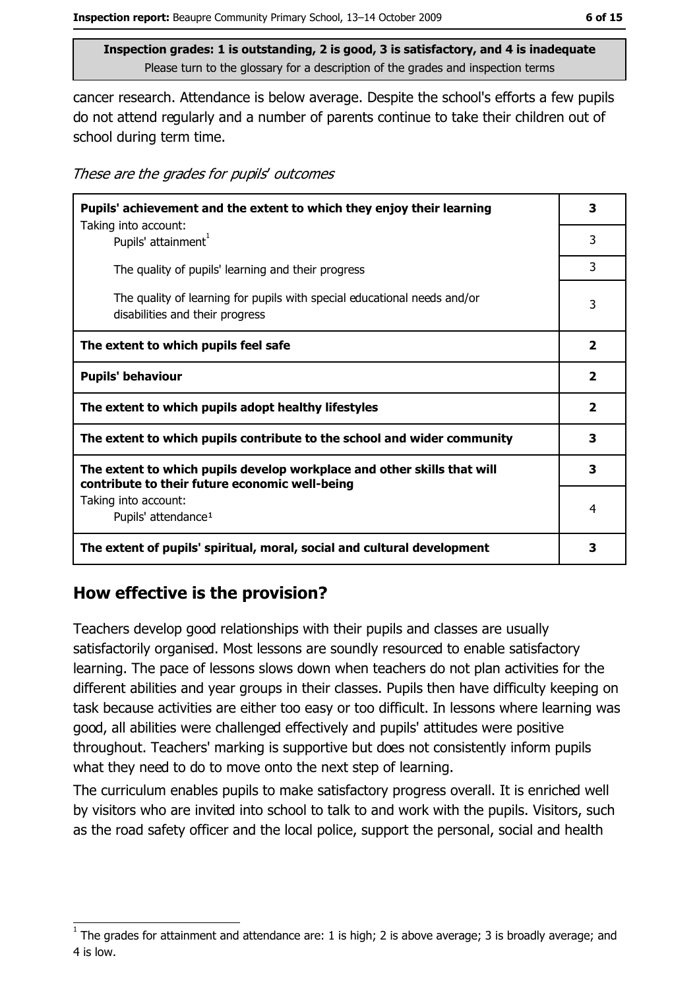cancer research. Attendance is below average. Despite the school's efforts a few pupils do not attend regularly and a number of parents continue to take their children out of school during term time.

These are the grades for pupils' outcomes

| Pupils' achievement and the extent to which they enjoy their learning                                                     |                         |  |
|---------------------------------------------------------------------------------------------------------------------------|-------------------------|--|
| Taking into account:<br>Pupils' attainment <sup>1</sup>                                                                   | 3                       |  |
| The quality of pupils' learning and their progress                                                                        | 3                       |  |
| The quality of learning for pupils with special educational needs and/or<br>disabilities and their progress               | 3                       |  |
| The extent to which pupils feel safe                                                                                      | $\overline{\mathbf{2}}$ |  |
| <b>Pupils' behaviour</b>                                                                                                  | $\overline{\mathbf{2}}$ |  |
| The extent to which pupils adopt healthy lifestyles                                                                       | $\overline{\mathbf{2}}$ |  |
| The extent to which pupils contribute to the school and wider community                                                   | 3                       |  |
| The extent to which pupils develop workplace and other skills that will<br>contribute to their future economic well-being | 3                       |  |
| Taking into account:<br>Pupils' attendance <sup>1</sup>                                                                   | 4                       |  |
| The extent of pupils' spiritual, moral, social and cultural development                                                   | 3                       |  |

## How effective is the provision?

Teachers develop good relationships with their pupils and classes are usually satisfactorily organised. Most lessons are soundly resourced to enable satisfactory learning. The pace of lessons slows down when teachers do not plan activities for the different abilities and year groups in their classes. Pupils then have difficulty keeping on task because activities are either too easy or too difficult. In lessons where learning was good, all abilities were challenged effectively and pupils' attitudes were positive throughout. Teachers' marking is supportive but does not consistently inform pupils what they need to do to move onto the next step of learning.

The curriculum enables pupils to make satisfactory progress overall. It is enriched well by visitors who are invited into school to talk to and work with the pupils. Visitors, such as the road safety officer and the local police, support the personal, social and health

The grades for attainment and attendance are: 1 is high; 2 is above average; 3 is broadly average; and 4 is low.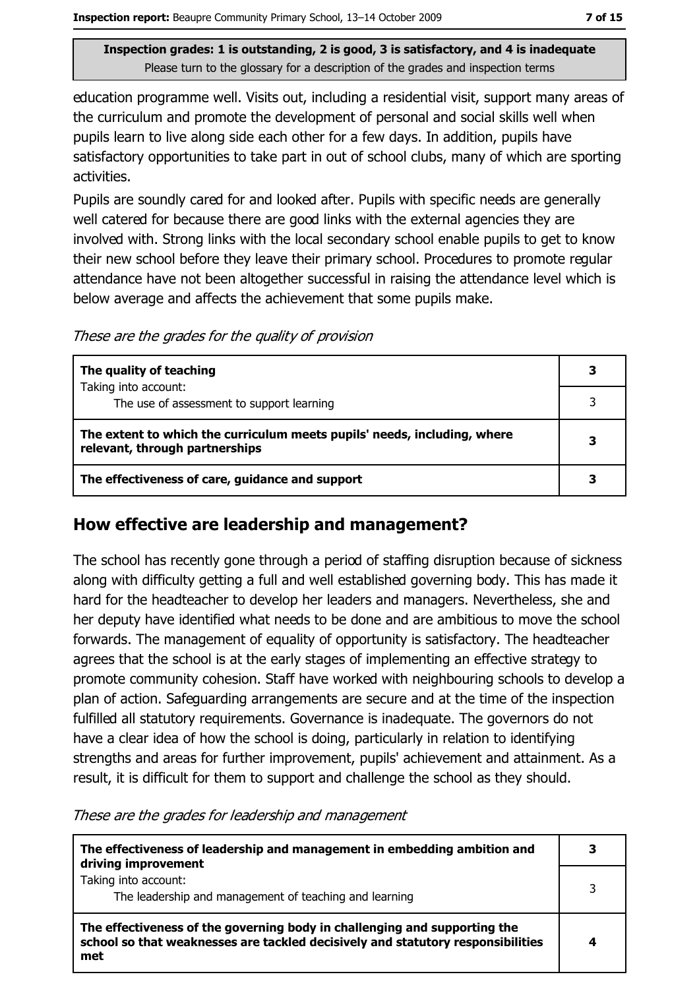education programme well. Visits out, including a residential visit, support many areas of the curriculum and promote the development of personal and social skills well when pupils learn to live along side each other for a few days. In addition, pupils have satisfactory opportunities to take part in out of school clubs, many of which are sporting activities.

Pupils are soundly cared for and looked after. Pupils with specific needs are generally well catered for because there are good links with the external agencies they are involved with. Strong links with the local secondary school enable pupils to get to know their new school before they leave their primary school. Procedures to promote regular attendance have not been altogether successful in raising the attendance level which is below average and affects the achievement that some pupils make.

These are the grades for the quality of provision

| The quality of teaching                                                                                    | 3 |
|------------------------------------------------------------------------------------------------------------|---|
| Taking into account:<br>The use of assessment to support learning                                          |   |
| The extent to which the curriculum meets pupils' needs, including, where<br>relevant, through partnerships | 3 |
| The effectiveness of care, guidance and support                                                            | 3 |

#### How effective are leadership and management?

The school has recently gone through a period of staffing disruption because of sickness along with difficulty getting a full and well established governing body. This has made it hard for the headteacher to develop her leaders and managers. Nevertheless, she and her deputy have identified what needs to be done and are ambitious to move the school forwards. The management of equality of opportunity is satisfactory. The headteacher agrees that the school is at the early stages of implementing an effective strategy to promote community cohesion. Staff have worked with neighbouring schools to develop a plan of action. Safeguarding arrangements are secure and at the time of the inspection fulfilled all statutory requirements. Governance is inadequate. The governors do not have a clear idea of how the school is doing, particularly in relation to identifying strengths and areas for further improvement, pupils' achievement and attainment. As a result, it is difficult for them to support and challenge the school as they should.

These are the grades for leadership and management

| The effectiveness of leadership and management in embedding ambition and<br>driving improvement                                                                     |    |
|---------------------------------------------------------------------------------------------------------------------------------------------------------------------|----|
| Taking into account:<br>The leadership and management of teaching and learning                                                                                      | ิว |
| The effectiveness of the governing body in challenging and supporting the<br>school so that weaknesses are tackled decisively and statutory responsibilities<br>met |    |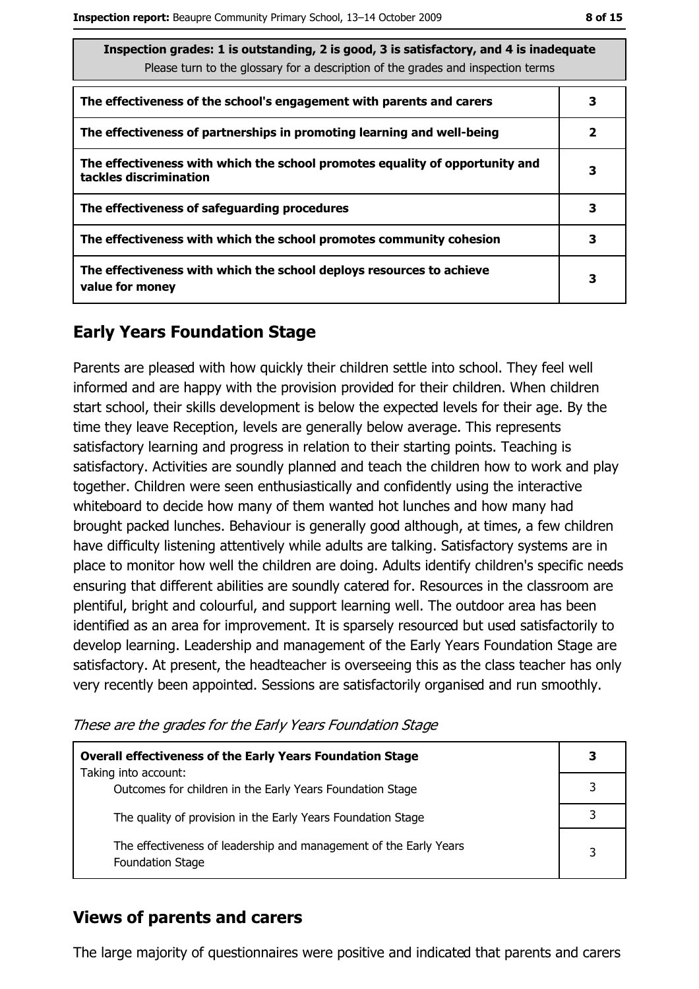| Inspection grades: 1 is outstanding, 2 is good, 3 is satisfactory, and 4 is inadequate<br>Please turn to the glossary for a description of the grades and inspection terms |   |
|----------------------------------------------------------------------------------------------------------------------------------------------------------------------------|---|
| The effectiveness of the school's engagement with parents and carers                                                                                                       | 3 |
| The effectiveness of partnerships in promoting learning and well-being                                                                                                     | 2 |
| The effectiveness with which the school promotes equality of opportunity and<br>tackles discrimination                                                                     | 3 |
| The effectiveness of safeguarding procedures                                                                                                                               | 3 |
| The effectiveness with which the school promotes community cohesion                                                                                                        | 3 |
| The effectiveness with which the school deploys resources to achieve<br>value for money                                                                                    | 3 |

# **Early Years Foundation Stage**

Parents are pleased with how quickly their children settle into school. They feel well informed and are happy with the provision provided for their children. When children start school, their skills development is below the expected levels for their age. By the time they leave Reception, levels are generally below average. This represents satisfactory learning and progress in relation to their starting points. Teaching is satisfactory. Activities are soundly planned and teach the children how to work and play together. Children were seen enthusiastically and confidently using the interactive whiteboard to decide how many of them wanted hot lunches and how many had brought packed lunches. Behaviour is generally good although, at times, a few children have difficulty listening attentively while adults are talking. Satisfactory systems are in place to monitor how well the children are doing. Adults identify children's specific needs ensuring that different abilities are soundly catered for. Resources in the classroom are plentiful, bright and colourful, and support learning well. The outdoor area has been identified as an area for improvement. It is sparsely resourced but used satisfactorily to develop learning. Leadership and management of the Early Years Foundation Stage are satisfactory. At present, the headteacher is overseeing this as the class teacher has only very recently been appointed. Sessions are satisfactorily organised and run smoothly.

These are the grades for the Early Years Foundation Stage

| <b>Overall effectiveness of the Early Years Foundation Stage</b>                             |  |
|----------------------------------------------------------------------------------------------|--|
| Taking into account:<br>Outcomes for children in the Early Years Foundation Stage            |  |
| The quality of provision in the Early Years Foundation Stage                                 |  |
| The effectiveness of leadership and management of the Early Years<br><b>Foundation Stage</b> |  |

#### **Views of parents and carers**

The large majority of questionnaires were positive and indicated that parents and carers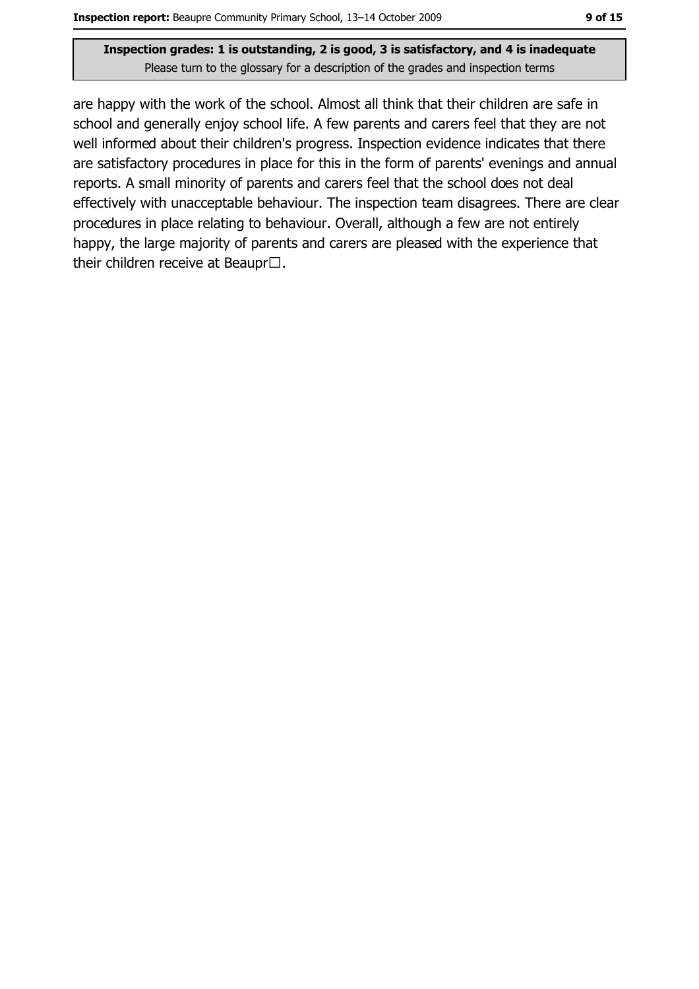are happy with the work of the school. Almost all think that their children are safe in school and generally enjoy school life. A few parents and carers feel that they are not well informed about their children's progress. Inspection evidence indicates that there are satisfactory procedures in place for this in the form of parents' evenings and annual reports. A small minority of parents and carers feel that the school does not deal effectively with unacceptable behaviour. The inspection team disagrees. There are clear procedures in place relating to behaviour. Overall, although a few are not entirely happy, the large majority of parents and carers are pleased with the experience that their children receive at Beaupr $\square$ .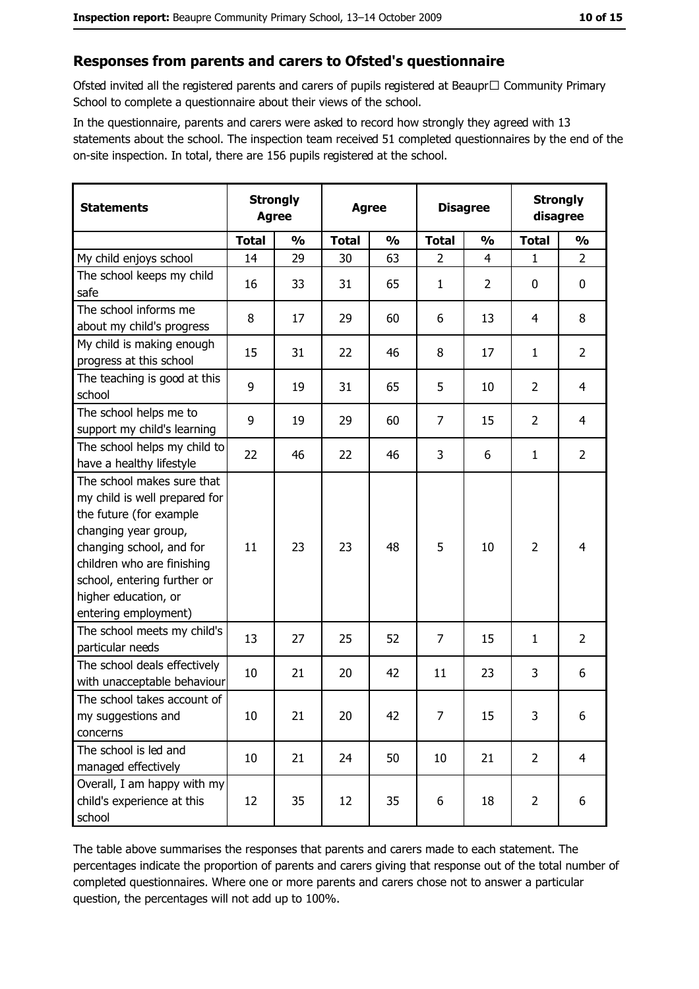#### Responses from parents and carers to Ofsted's questionnaire

Ofsted invited all the registered parents and carers of pupils registered at Beaupr□ Community Primary School to complete a questionnaire about their views of the school.

In the questionnaire, parents and carers were asked to record how strongly they agreed with 13 statements about the school. The inspection team received 51 completed questionnaires by the end of the on-site inspection. In total, there are 156 pupils registered at the school.

| <b>Statements</b>                                                                                                                                                                                                                                       | <b>Strongly</b><br><b>Agree</b> |               | <b>Agree</b> |               |                | <b>Disagree</b> |                | <b>Strongly</b><br>disagree |  |
|---------------------------------------------------------------------------------------------------------------------------------------------------------------------------------------------------------------------------------------------------------|---------------------------------|---------------|--------------|---------------|----------------|-----------------|----------------|-----------------------------|--|
|                                                                                                                                                                                                                                                         | <b>Total</b>                    | $\frac{1}{2}$ | <b>Total</b> | $\frac{0}{0}$ | <b>Total</b>   | $\frac{0}{0}$   | <b>Total</b>   | $\frac{0}{0}$               |  |
| My child enjoys school                                                                                                                                                                                                                                  | 14                              | 29            | 30           | 63            | $\overline{2}$ | $\overline{4}$  | 1              | $\overline{2}$              |  |
| The school keeps my child<br>safe                                                                                                                                                                                                                       | 16                              | 33            | 31           | 65            | $\mathbf{1}$   | $\overline{2}$  | 0              | 0                           |  |
| The school informs me<br>about my child's progress                                                                                                                                                                                                      | 8                               | 17            | 29           | 60            | 6              | 13              | 4              | 8                           |  |
| My child is making enough<br>progress at this school                                                                                                                                                                                                    | 15                              | 31            | 22           | 46            | 8              | 17              | 1              | $\overline{2}$              |  |
| The teaching is good at this<br>school                                                                                                                                                                                                                  | 9                               | 19            | 31           | 65            | 5              | 10              | $\overline{2}$ | $\overline{4}$              |  |
| The school helps me to<br>support my child's learning                                                                                                                                                                                                   | 9                               | 19            | 29           | 60            | $\overline{7}$ | 15              | $\overline{2}$ | $\overline{4}$              |  |
| The school helps my child to<br>have a healthy lifestyle                                                                                                                                                                                                | 22                              | 46            | 22           | 46            | 3              | 6               | 1              | $\overline{2}$              |  |
| The school makes sure that<br>my child is well prepared for<br>the future (for example<br>changing year group,<br>changing school, and for<br>children who are finishing<br>school, entering further or<br>higher education, or<br>entering employment) | 11                              | 23            | 23           | 48            | 5              | 10              | $\overline{2}$ | 4                           |  |
| The school meets my child's<br>particular needs                                                                                                                                                                                                         | 13                              | 27            | 25           | 52            | $\overline{7}$ | 15              | 1              | $\overline{2}$              |  |
| The school deals effectively<br>with unacceptable behaviour                                                                                                                                                                                             | 10                              | 21            | 20           | 42            | 11             | 23              | 3              | 6                           |  |
| The school takes account of<br>my suggestions and<br>concerns                                                                                                                                                                                           | 10                              | 21            | 20           | 42            | $\overline{7}$ | 15              | 3              | 6                           |  |
| The school is led and<br>managed effectively                                                                                                                                                                                                            | 10                              | 21            | 24           | 50            | 10             | 21              | $\overline{2}$ | $\overline{4}$              |  |
| Overall, I am happy with my<br>child's experience at this<br>school                                                                                                                                                                                     | 12                              | 35            | 12           | 35            | 6              | 18              | $\overline{2}$ | 6                           |  |

The table above summarises the responses that parents and carers made to each statement. The percentages indicate the proportion of parents and carers giving that response out of the total number of completed questionnaires. Where one or more parents and carers chose not to answer a particular question, the percentages will not add up to 100%.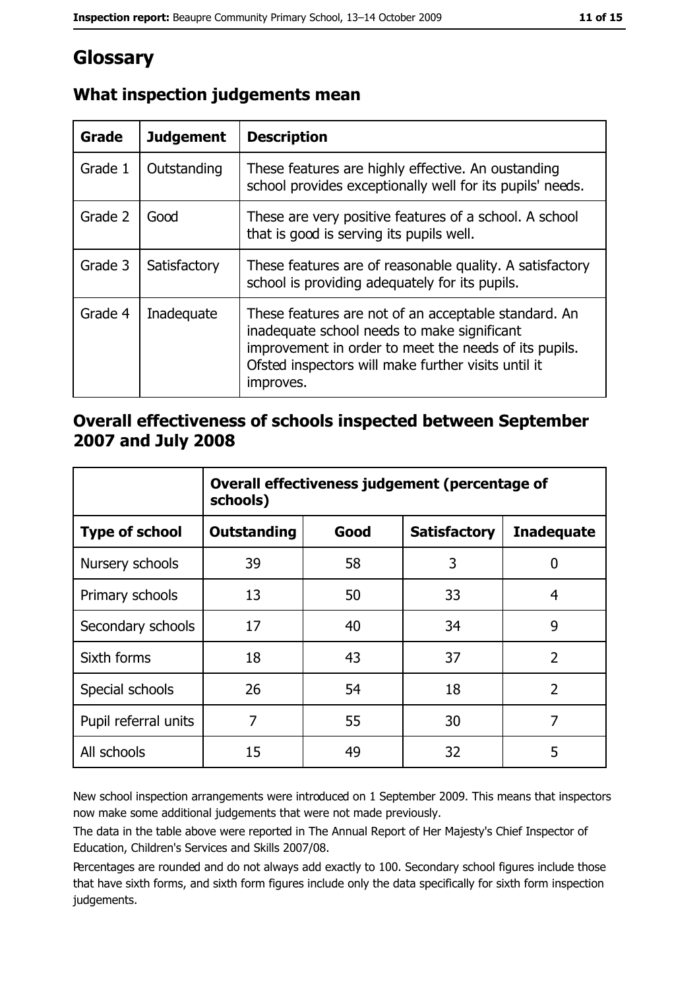# Glossary

| <b>Grade</b> | <b>Judgement</b> | <b>Description</b>                                                                                                                                                                                                               |
|--------------|------------------|----------------------------------------------------------------------------------------------------------------------------------------------------------------------------------------------------------------------------------|
| Grade 1      | Outstanding      | These features are highly effective. An oustanding<br>school provides exceptionally well for its pupils' needs.                                                                                                                  |
| Grade 2      | Good             | These are very positive features of a school. A school<br>that is good is serving its pupils well.                                                                                                                               |
| Grade 3      | Satisfactory     | These features are of reasonable quality. A satisfactory<br>school is providing adequately for its pupils.                                                                                                                       |
| Grade 4      | Inadequate       | These features are not of an acceptable standard. An<br>inadequate school needs to make significant<br>improvement in order to meet the needs of its pupils.<br>Ofsted inspectors will make further visits until it<br>improves. |

# What inspection judgements mean

## Overall effectiveness of schools inspected between September 2007 and July 2008

|                       | Overall effectiveness judgement (percentage of<br>schools) |      |                     |                   |
|-----------------------|------------------------------------------------------------|------|---------------------|-------------------|
| <b>Type of school</b> | Outstanding                                                | Good | <b>Satisfactory</b> | <b>Inadequate</b> |
| Nursery schools       | 39                                                         | 58   | 3                   | 0                 |
| Primary schools       | 13                                                         | 50   | 33                  | 4                 |
| Secondary schools     | 17                                                         | 40   | 34                  | 9                 |
| Sixth forms           | 18                                                         | 43   | 37                  | $\overline{2}$    |
| Special schools       | 26                                                         | 54   | 18                  | $\overline{2}$    |
| Pupil referral units  | 7                                                          | 55   | 30                  | 7                 |
| All schools           | 15                                                         | 49   | 32                  | 5                 |

New school inspection arrangements were introduced on 1 September 2009. This means that inspectors now make some additional judgements that were not made previously.

The data in the table above were reported in The Annual Report of Her Majesty's Chief Inspector of Education, Children's Services and Skills 2007/08.

Percentages are rounded and do not always add exactly to 100. Secondary school figures include those that have sixth forms, and sixth form figures include only the data specifically for sixth form inspection judgements.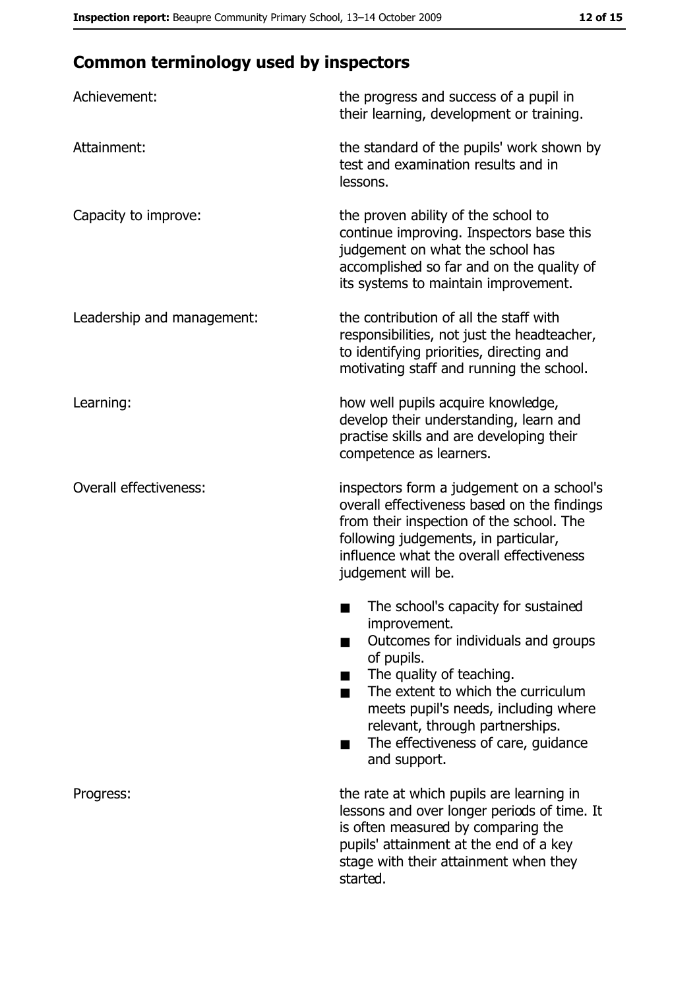# **Common terminology used by inspectors**

| Achievement:                  | the progress and success of a pupil in<br>their learning, development or training.                                                                                                                                                                                                                           |
|-------------------------------|--------------------------------------------------------------------------------------------------------------------------------------------------------------------------------------------------------------------------------------------------------------------------------------------------------------|
| Attainment:                   | the standard of the pupils' work shown by<br>test and examination results and in<br>lessons.                                                                                                                                                                                                                 |
| Capacity to improve:          | the proven ability of the school to<br>continue improving. Inspectors base this<br>judgement on what the school has<br>accomplished so far and on the quality of<br>its systems to maintain improvement.                                                                                                     |
| Leadership and management:    | the contribution of all the staff with<br>responsibilities, not just the headteacher,<br>to identifying priorities, directing and<br>motivating staff and running the school.                                                                                                                                |
| Learning:                     | how well pupils acquire knowledge,<br>develop their understanding, learn and<br>practise skills and are developing their<br>competence as learners.                                                                                                                                                          |
| <b>Overall effectiveness:</b> | inspectors form a judgement on a school's<br>overall effectiveness based on the findings<br>from their inspection of the school. The<br>following judgements, in particular,<br>influence what the overall effectiveness<br>judgement will be.                                                               |
|                               | The school's capacity for sustained<br>improvement.<br>Outcomes for individuals and groups<br>of pupils.<br>The quality of teaching.<br>The extent to which the curriculum<br>meets pupil's needs, including where<br>relevant, through partnerships.<br>The effectiveness of care, guidance<br>and support. |
| Progress:                     | the rate at which pupils are learning in<br>lessons and over longer periods of time. It<br>is often measured by comparing the<br>pupils' attainment at the end of a key<br>stage with their attainment when they<br>started.                                                                                 |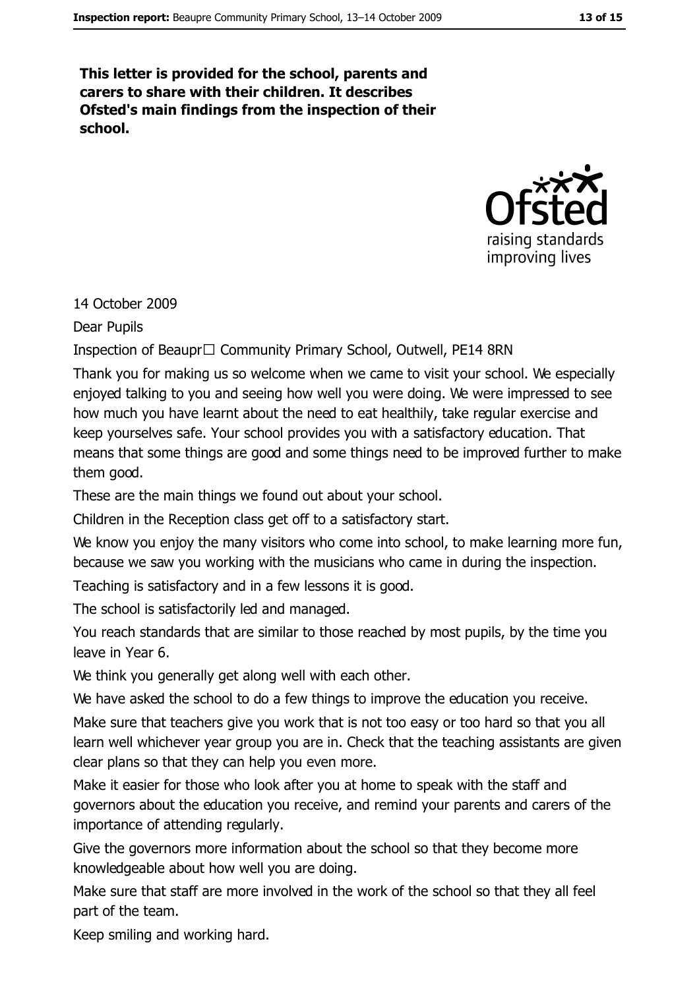This letter is provided for the school, parents and carers to share with their children. It describes Ofsted's main findings from the inspection of their school.



#### 14 October 2009

**Dear Pupils** 

Inspection of Beaupr□ Community Primary School, Outwell, PE14 8RN

Thank you for making us so welcome when we came to visit your school. We especially enjoved talking to you and seeing how well you were doing. We were impressed to see how much you have learnt about the need to eat healthily, take regular exercise and keep yourselves safe. Your school provides you with a satisfactory education. That means that some things are good and some things need to be improved further to make them good.

These are the main things we found out about your school.

Children in the Reception class get off to a satisfactory start.

We know you enjoy the many visitors who come into school, to make learning more fun, because we saw you working with the musicians who came in during the inspection.

Teaching is satisfactory and in a few lessons it is good.

The school is satisfactorily led and managed.

You reach standards that are similar to those reached by most pupils, by the time you leave in Year 6.

We think you generally get along well with each other.

We have asked the school to do a few things to improve the education you receive.

Make sure that teachers give you work that is not too easy or too hard so that you all learn well whichever year group you are in. Check that the teaching assistants are given clear plans so that they can help you even more.

Make it easier for those who look after you at home to speak with the staff and governors about the education you receive, and remind your parents and carers of the importance of attending regularly.

Give the governors more information about the school so that they become more knowledgeable about how well you are doing.

Make sure that staff are more involved in the work of the school so that they all feel part of the team.

Keep smiling and working hard.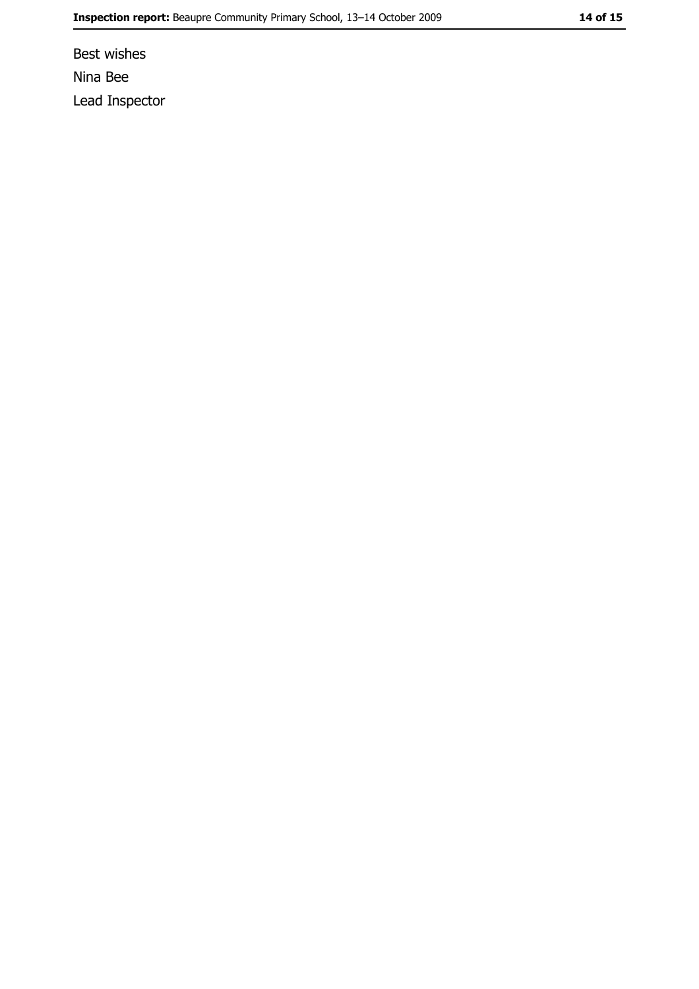Best wishes Nina Bee Lead Inspector